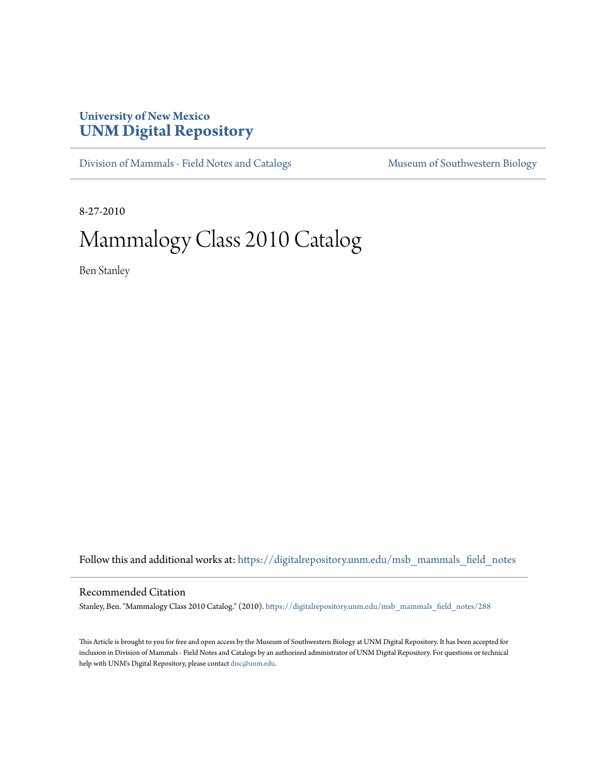# **University of New Mexico [UNM Digital Repository](https://digitalrepository.unm.edu?utm_source=digitalrepository.unm.edu%2Fmsb_mammals_field_notes%2F288&utm_medium=PDF&utm_campaign=PDFCoverPages)**

[Division of Mammals - Field Notes and Catalogs](https://digitalrepository.unm.edu/msb_mammals_field_notes?utm_source=digitalrepository.unm.edu%2Fmsb_mammals_field_notes%2F288&utm_medium=PDF&utm_campaign=PDFCoverPages) [Museum of Southwestern Biology](https://digitalrepository.unm.edu/msb?utm_source=digitalrepository.unm.edu%2Fmsb_mammals_field_notes%2F288&utm_medium=PDF&utm_campaign=PDFCoverPages)

8-27-2010

# Mammalogy Class 2010 Catalog

Ben Stanley

Follow this and additional works at: [https://digitalrepository.unm.edu/msb\\_mammals\\_field\\_notes](https://digitalrepository.unm.edu/msb_mammals_field_notes?utm_source=digitalrepository.unm.edu%2Fmsb_mammals_field_notes%2F288&utm_medium=PDF&utm_campaign=PDFCoverPages)

## Recommended Citation

Stanley, Ben. "Mammalogy Class 2010 Catalog." (2010). [https://digitalrepository.unm.edu/msb\\_mammals\\_field\\_notes/288](https://digitalrepository.unm.edu/msb_mammals_field_notes/288?utm_source=digitalrepository.unm.edu%2Fmsb_mammals_field_notes%2F288&utm_medium=PDF&utm_campaign=PDFCoverPages)

This Article is brought to you for free and open access by the Museum of Southwestern Biology at UNM Digital Repository. It has been accepted for inclusion in Division of Mammals - Field Notes and Catalogs by an authorized administrator of UNM Digital Repository. For questions or technical help with UNM's Digital Repository, please contact [disc@unm.edu](mailto:disc@unm.edu).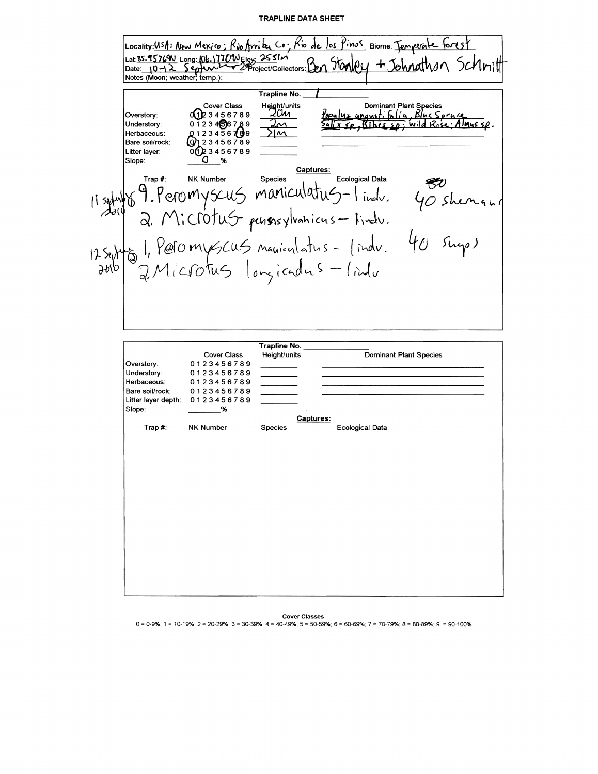#### **TRAPLINE DATA SHEET**



**Cover Classes** 

 $0 = 0.9\%$ ; 1 = 10-19%; 2 = 20-29%; 3 = 30-39%; 4 = 40-49%; 5 = 50-59%; 6 = 60-69%; 7 = 70-79%; 8 = 80-89%; 9 = 90-100%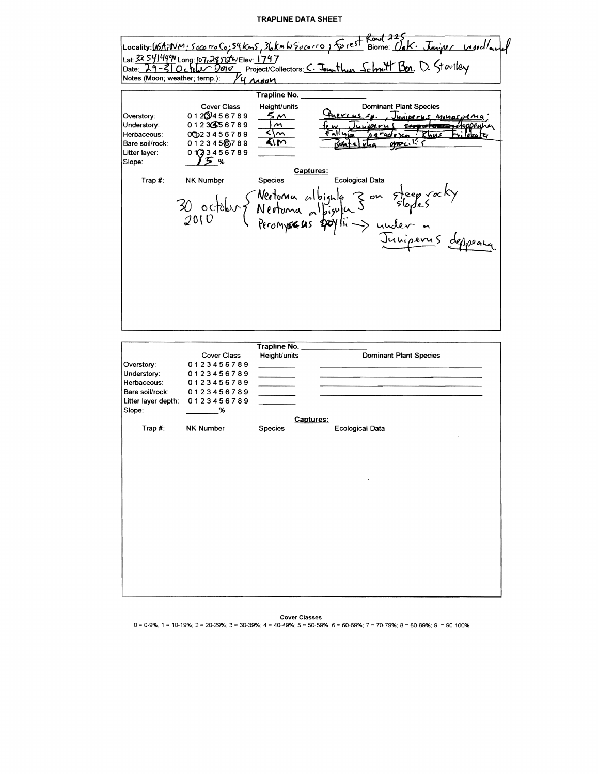### **TRAPLINE** DATA SHEET



Cover Classes

 $0 = 0.9\%$ ; 1 = 10-19%; 2 = 20-29%; 3 = 30-39%; 4 = 40-49%; 5 = 50-59%; 6 = 60-69%; 7 = 70-79%; 8 = 80-89%; 9 = 90-100%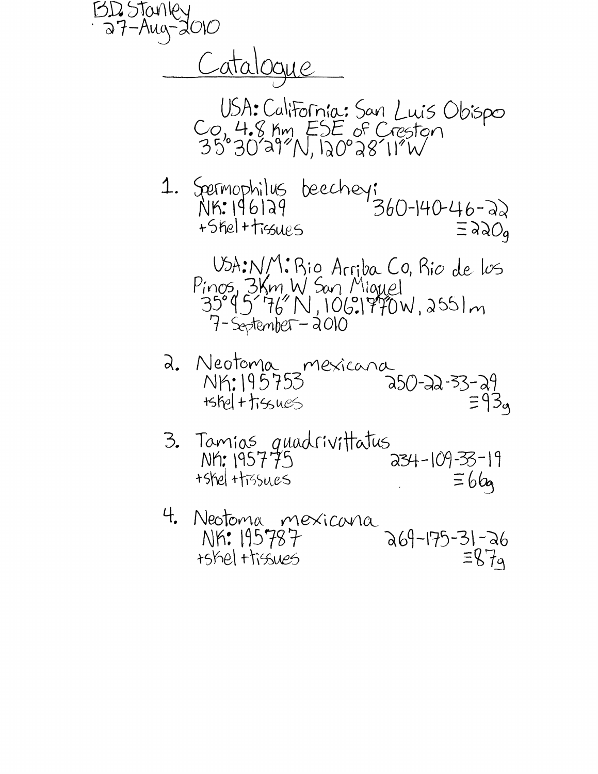Catalogue USA: California: San Luis Obispo<br>Co, 4.8 Km ESE of Creston<br>35°30'a9"N, 120°28'11"W 1. Spermophilus beechey:<br>NIK.196129 360-140-46-22 +Shel + tissues  $\equiv$  220q USA:NM: Bio Arriba Co, Bio de los Pinos, 3Km W San Miguel<br>35°95'76"N, 106.1970W, 2551m  $7 - s$ eptember - 2010 a. Neotoma mexicana<br>NK:195753 a50-22-33-29 3. Tamias quadrivittatus  $234 - 109 - 33 - 19$ NK: 195775 +shel +tissues  $\equiv 66$ 4. Neotoma mexicana<br>a69-175-31-26  $\equiv 87a$ +shel +tissues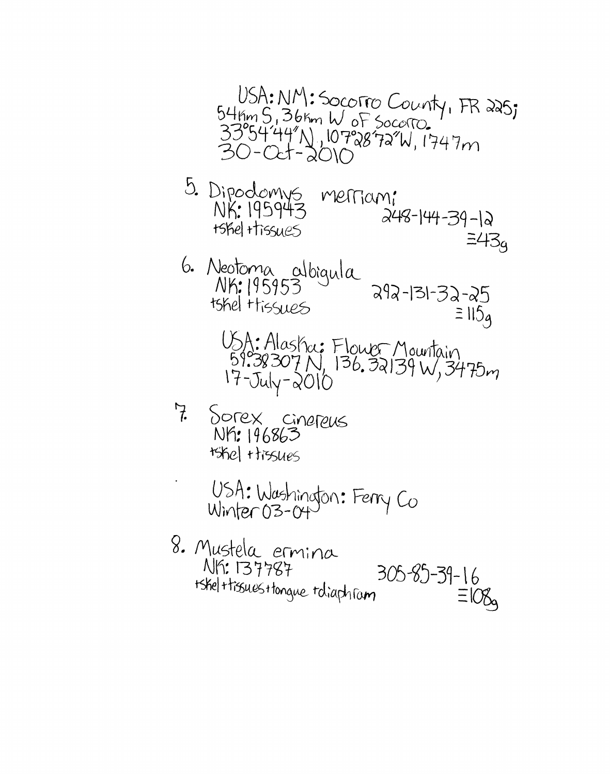USA: NM: SOCOTRO County, FR 225;<br>54Km 5, 36Km W of Socotro.<br>33°5444"N, 107°2872"W, 1747m

5. Dipodomys merriam:<br>NK: 195943 merriam:  $248-144-39-12$ tshel ttissues  $\equiv 43q$ 

- 6. Neotoma albigula<br>NK: 195953 292-131-32-25 tshel Hissues  $\equiv$  115<sub>4</sub>
	- USA: Alaska: Flower Mountain<br>59.38307 N, 136.32139 W, 3475m<br>17-July-2010
- 7. Sorex cinereus NY: 196863 **Ishel Hissues**

USA: Washington: Ferry Co

8. Mustela ermina  $305 - 85 - 39 - 16 = 108$ **NIS: 137787** tskel + tissues + tonque toliaphram